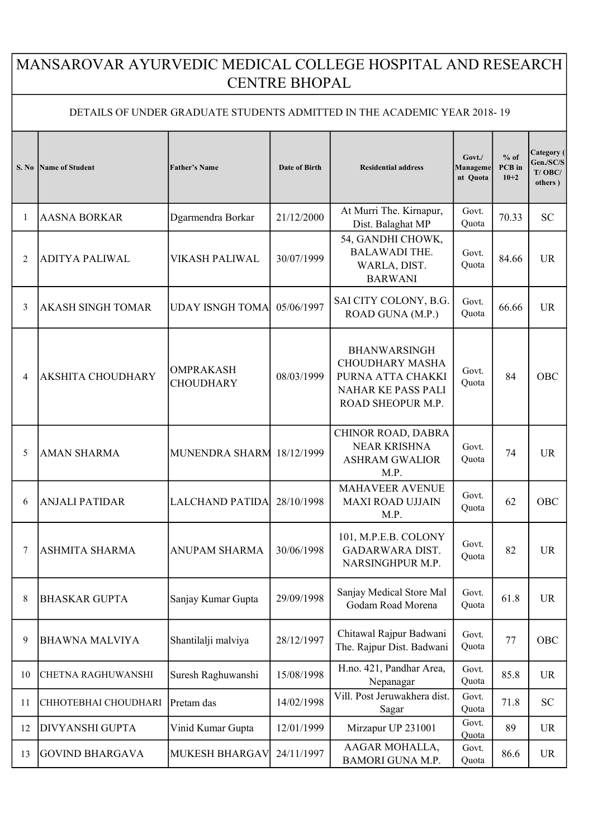## MANSAROVAR AYURVEDIC MEDICAL COLLEGE HOSPITAL AND RESEARCH CENTRE BHOPAL

## DETAILS OF UNDER GRADUATE STUDENTS ADMITTED IN THE ACADEMIC YEAR 2018- 19

| S. No | Name of Student           | <b>Father's Name</b>                 | Date of Birth | <b>Residential address</b>                                                                                    | Govt./<br>Manageme<br>nt Quota | $%$ of<br>PCB in<br>$10+2$ | Category (<br>Gen./SC/S<br>$T/$ OBC/<br>others) |
|-------|---------------------------|--------------------------------------|---------------|---------------------------------------------------------------------------------------------------------------|--------------------------------|----------------------------|-------------------------------------------------|
| 1     | <b>AASNA BORKAR</b>       | Dgarmendra Borkar                    | 21/12/2000    | At Murri The. Kirnapur,<br>Dist. Balaghat MP                                                                  | Govt.<br>Quota                 | 70.33                      | <b>SC</b>                                       |
| 2     | <b>ADITYA PALIWAL</b>     | VIKASH PALIWAL                       | 30/07/1999    | 54, GANDHI CHOWK,<br><b>BALAWADI THE.</b><br>WARLA, DIST.<br><b>BARWANI</b>                                   | Govt.<br>Quota                 | 84.66                      | <b>UR</b>                                       |
| 3     | <b>AKASH SINGH TOMAR</b>  | <b>UDAY ISNGH TOMA</b>               | 05/06/1997    | SAI CITY COLONY, B.G.<br>ROAD GUNA (M.P.)                                                                     | Govt.<br>Quota                 | 66.66                      | <b>UR</b>                                       |
| 4     | <b>AKSHITA CHOUDHARY</b>  | <b>OMPRAKASH</b><br><b>CHOUDHARY</b> | 08/03/1999    | <b>BHANWARSINGH</b><br><b>CHOUDHARY MASHA</b><br>PURNA ATTA CHAKKI<br>NAHAR KE PASS PALI<br>ROAD SHEOPUR M.P. | Govt.<br>Quota                 | 84                         | <b>OBC</b>                                      |
| 5     | <b>AMAN SHARMA</b>        | MUNENDRA SHARM                       | 18/12/1999    | CHINOR ROAD, DABRA<br><b>NEAR KRISHNA</b><br><b>ASHRAM GWALIOR</b><br>M.P.                                    | Govt.<br>Quota                 | 74                         | <b>UR</b>                                       |
| 6     | <b>ANJALI PATIDAR</b>     | <b>LALCHAND PATIDA</b>               | 28/10/1998    | <b>MAHAVEER AVENUE</b><br><b>MAXI ROAD UJJAIN</b><br>M.P.                                                     | Govt.<br>Quota                 | 62                         | OBC                                             |
| 7     | <b>ASHMITA SHARMA</b>     | <b>ANUPAM SHARMA</b>                 | 30/06/1998    | 101, M.P.E.B. COLONY<br><b>GADARWARA DIST.</b><br>NARSINGHPUR M.P.                                            | Govt.<br>Quota                 | 82                         | <b>UR</b>                                       |
| 8     | <b>BHASKAR GUPTA</b>      | Sanjay Kumar Gupta                   | 29/09/1998    | Sanjay Medical Store Mal<br>Godam Road Morena                                                                 | Govt.<br>Quota                 | 61.8                       | <b>UR</b>                                       |
| 9     | <b>BHAWNA MALVIYA</b>     | Shantilalji malviya                  | 28/12/1997    | Chitawal Rajpur Badwani<br>The. Rajpur Dist. Badwani                                                          | Govt.<br>Quota                 | 77                         | OBC                                             |
| 10    | <b>CHETNA RAGHUWANSHI</b> | Suresh Raghuwanshi                   | 15/08/1998    | H.no. 421, Pandhar Area,<br>Nepanagar                                                                         | Govt.<br>Quota                 | 85.8                       | <b>UR</b>                                       |
| 11    | CHHOTEBHAI CHOUDHARI      | Pretam das                           | 14/02/1998    | Vill. Post Jeruwakhera dist.<br>Sagar                                                                         | Govt.<br>Quota                 | 71.8                       | <b>SC</b>                                       |
| 12    | <b>DIVYANSHI GUPTA</b>    | Vinid Kumar Gupta                    | 12/01/1999    | Mirzapur UP 231001                                                                                            | Govt.<br>Quota                 | 89                         | <b>UR</b>                                       |
| 13    | <b>GOVIND BHARGAVA</b>    | <b>MUKESH BHARGAV</b>                | 24/11/1997    | AAGAR MOHALLA,<br><b>BAMORI GUNA M.P.</b>                                                                     | Govt.<br>Quota                 | 86.6                       | <b>UR</b>                                       |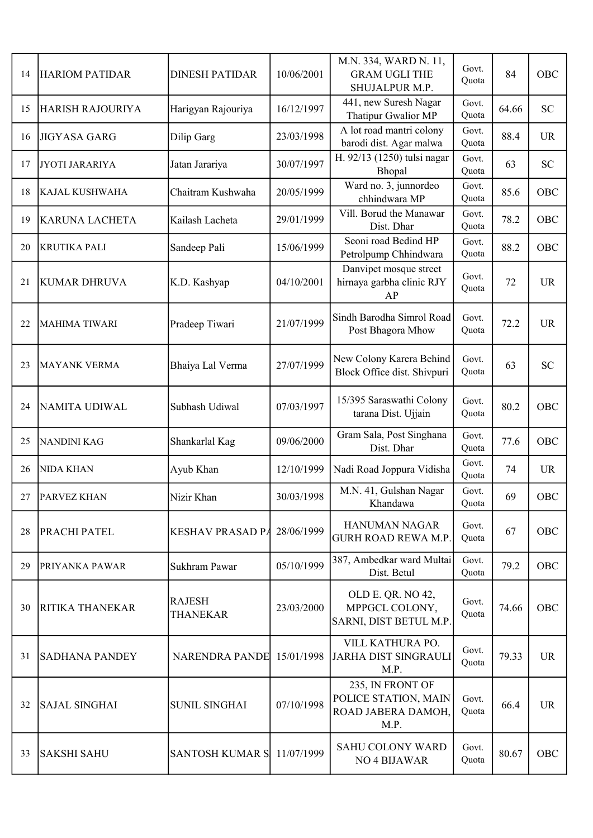| 14 | <b>HARIOM PATIDAR</b>   | <b>DINESH PATIDAR</b>            | 10/06/2001 | M.N. 334, WARD N. 11,<br><b>GRAM UGLI THE</b><br>SHUJALPUR M.P.        | Govt.<br>Quota | 84    | OBC       |
|----|-------------------------|----------------------------------|------------|------------------------------------------------------------------------|----------------|-------|-----------|
| 15 | <b>HARISH RAJOURIYA</b> | Harigyan Rajouriya               | 16/12/1997 | 441, new Suresh Nagar<br>Thatipur Gwalior MP                           | Govt.<br>Quota | 64.66 | <b>SC</b> |
| 16 | <b>JIGYASA GARG</b>     | Dilip Garg                       | 23/03/1998 | A lot road mantri colony<br>barodi dist. Agar malwa                    | Govt.<br>Quota | 88.4  | <b>UR</b> |
| 17 | JYOTI JARARIYA          | Jatan Jarariya                   | 30/07/1997 | H. 92/13 (1250) tulsi nagar<br>Bhopal                                  | Govt.<br>Quota | 63    | <b>SC</b> |
| 18 | <b>KAJAL KUSHWAHA</b>   | Chaitram Kushwaha                | 20/05/1999 | Ward no. 3, junnordeo<br>chhindwara MP                                 | Govt.<br>Quota | 85.6  | OBC       |
| 19 | <b>KARUNA LACHETA</b>   | Kailash Lacheta                  | 29/01/1999 | Vill. Borud the Manawar<br>Dist. Dhar                                  | Govt.<br>Quota | 78.2  | OBC       |
| 20 | <b>KRUTIKA PALI</b>     | Sandeep Pali                     | 15/06/1999 | Seoni road Bedind HP<br>Petrolpump Chhindwara                          | Govt.<br>Quota | 88.2  | OBC       |
| 21 | <b>KUMAR DHRUVA</b>     | K.D. Kashyap                     | 04/10/2001 | Danvipet mosque street<br>hirnaya garbha clinic RJY<br>AP              | Govt.<br>Quota | 72    | <b>UR</b> |
| 22 | <b>MAHIMA TIWARI</b>    | Pradeep Tiwari                   | 21/07/1999 | Sindh Barodha Simrol Road<br>Post Bhagora Mhow                         | Govt.<br>Quota | 72.2  | <b>UR</b> |
| 23 | <b>MAYANK VERMA</b>     | Bhaiya Lal Verma                 | 27/07/1999 | New Colony Karera Behind<br>Block Office dist. Shivpuri                | Govt.<br>Quota | 63    | <b>SC</b> |
| 24 | NAMITA UDIWAL           | Subhash Udiwal                   | 07/03/1997 | 15/395 Saraswathi Colony<br>tarana Dist. Ujjain                        | Govt.<br>Quota | 80.2  | OBC       |
| 25 | <b>NANDINI KAG</b>      | Shankarlal Kag                   | 09/06/2000 | Gram Sala, Post Singhana<br>Dist. Dhar                                 | Govt.<br>Quota | 77.6  | OBC       |
| 26 | <b>NIDA KHAN</b>        | Ayub Khan                        | 12/10/1999 | Nadi Road Joppura Vidisha                                              | Govt.<br>Quota | 74    | <b>UR</b> |
| 27 | <b>IPARVEZ KHAN</b>     | Nizir Khan                       | 30/03/1998 | M.N. 41, Gulshan Nagar<br>Khandawa                                     | Govt.<br>Quota | 69    | OBC       |
| 28 | PRACHI PATEL            | <b>KESHAV PRASAD PA</b>          | 28/06/1999 | HANUMAN NAGAR<br><b>GURH ROAD REWA M.P</b>                             | Govt.<br>Quota | 67    | OBC       |
| 29 | PRIYANKA PAWAR          | Sukhram Pawar                    | 05/10/1999 | 387, Ambedkar ward Multai<br>Dist. Betul                               | Govt.<br>Quota | 79.2  | OBC       |
| 30 | RITIKA THANEKAR         | <b>RAJESH</b><br><b>THANEKAR</b> | 23/03/2000 | OLD E. QR. NO 42,<br>MPPGCL COLONY,<br>SARNI, DIST BETUL M.P.          | Govt.<br>Quota | 74.66 | OBC       |
| 31 | <b>SADHANA PANDEY</b>   | <b>NARENDRA PANDE</b>            | 15/01/1998 | VILL KATHURA PO.<br><b>JARHA DIST SINGRAULI</b><br>M.P.                | Govt.<br>Quota | 79.33 | <b>UR</b> |
| 32 | <b>SAJAL SINGHAI</b>    | <b>SUNIL SINGHAI</b>             | 07/10/1998 | 235, IN FRONT OF<br>POLICE STATION, MAIN<br>ROAD JABERA DAMOH,<br>M.P. | Govt.<br>Quota | 66.4  | <b>UR</b> |
| 33 | <b>SAKSHI SAHU</b>      | <b>SANTOSH KUMAR S</b>           | 11/07/1999 | SAHU COLONY WARD<br>NO <sub>4</sub> BIJAWAR                            | Govt.<br>Quota | 80.67 | OBC       |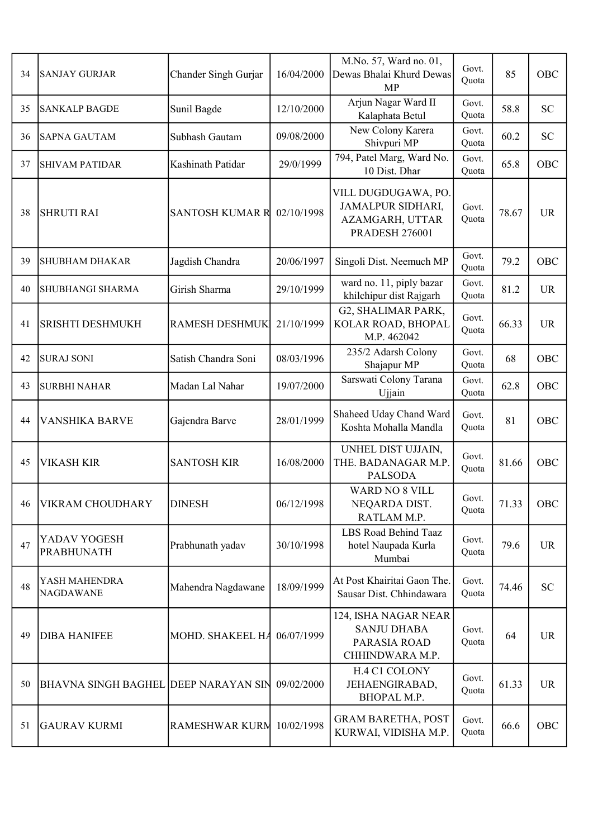| 34 | SANJAY GURJAR                        | Chander Singh Gurjar   | 16/04/2000 | M.No. 57, Ward no. 01,<br>Dewas Bhalai Khurd Dewas<br><b>MP</b>                      | Govt.<br>Quota | 85    | OBC        |
|----|--------------------------------------|------------------------|------------|--------------------------------------------------------------------------------------|----------------|-------|------------|
| 35 | <b>SANKALP BAGDE</b>                 | Sunil Bagde            | 12/10/2000 | Arjun Nagar Ward II<br>Kalaphata Betul                                               | Govt.<br>Quota | 58.8  | <b>SC</b>  |
| 36 | <b>SAPNA GAUTAM</b>                  | Subhash Gautam         | 09/08/2000 | New Colony Karera<br>Shivpuri MP                                                     | Govt.<br>Quota | 60.2  | <b>SC</b>  |
| 37 | <b>SHIVAM PATIDAR</b>                | Kashinath Patidar      | 29/0/1999  | 794, Patel Marg, Ward No.<br>10 Dist. Dhar                                           | Govt.<br>Quota | 65.8  | <b>OBC</b> |
| 38 | <b>SHRUTI RAI</b>                    | <b>SANTOSH KUMAR R</b> | 02/10/1998 | VILL DUGDUGAWA, PO.<br>JAMALPUR SIDHARI,<br>AZAMGARH, UTTAR<br><b>PRADESH 276001</b> | Govt.<br>Quota | 78.67 | <b>UR</b>  |
| 39 | <b>SHUBHAM DHAKAR</b>                | Jagdish Chandra        | 20/06/1997 | Singoli Dist. Neemuch MP                                                             | Govt.<br>Quota | 79.2  | OBC        |
| 40 | SHUBHANGI SHARMA                     | Girish Sharma          | 29/10/1999 | ward no. 11, piply bazar<br>khilchipur dist Rajgarh                                  | Govt.<br>Quota | 81.2  | <b>UR</b>  |
| 41 | <b>SRISHTI DESHMUKH</b>              | <b>RAMESH DESHMUK</b>  | 21/10/1999 | G2, SHALIMAR PARK,<br>KOLAR ROAD, BHOPAL<br>M.P. 462042                              | Govt.<br>Quota | 66.33 | <b>UR</b>  |
| 42 | <b>SURAJ SONI</b>                    | Satish Chandra Soni    | 08/03/1996 | 235/2 Adarsh Colony<br>Shajapur MP                                                   | Govt.<br>Quota | 68    | OBC        |
| 43 | <b>SURBHI NAHAR</b>                  | Madan Lal Nahar        | 19/07/2000 | Sarswati Colony Tarana<br>Ujjain                                                     | Govt.<br>Quota | 62.8  | OBC        |
| 44 | <b>VANSHIKA BARVE</b>                | Gajendra Barve         | 28/01/1999 | Shaheed Uday Chand Ward<br>Koshta Mohalla Mandla                                     | Govt.<br>Quota | 81    | OBC        |
| 45 | <b>VIKASH KIR</b>                    | <b>SANTOSH KIR</b>     | 16/08/2000 | UNHEL DIST UJJAIN,<br>THE. BADANAGAR M.P.<br><b>PALSODA</b>                          | Govt.<br>Quota | 81.66 | OBC        |
| 46 | <b>VIKRAM CHOUDHARY</b>              | <b>DINESH</b>          | 06/12/1998 | <b>WARD NO 8 VILL</b><br>NEQARDA DIST.<br>RATLAM M.P.                                | Govt.<br>Quota | 71.33 | OBC        |
| 47 | YADAV YOGESH<br><b>PRABHUNATH</b>    | Prabhunath yadav       | 30/10/1998 | LBS Road Behind Taaz<br>hotel Naupada Kurla<br>Mumbai                                | Govt.<br>Quota | 79.6  | <b>UR</b>  |
| 48 | YASH MAHENDRA<br><b>NAGDAWANE</b>    | Mahendra Nagdawane     | 18/09/1999 | At Post Khairitai Gaon The.<br>Sausar Dist. Chhindawara                              | Govt.<br>Quota | 74.46 | <b>SC</b>  |
| 49 | <b>DIBA HANIFEE</b>                  | MOHD. SHAKEEL HA       | 06/07/1999 | 124, ISHA NAGAR NEAR<br><b>SANJU DHABA</b><br>PARASIA ROAD<br>CHHINDWARA M.P.        | Govt.<br>Quota | 64    | <b>UR</b>  |
| 50 | BHAVNA SINGH BAGHEL DEEP NARAYAN SIN |                        | 09/02/2000 | H.4 C1 COLONY<br>JEHAENGIRABAD,<br>BHOPAL M.P.                                       | Govt.<br>Quota | 61.33 | <b>UR</b>  |
| 51 | <b>GAURAV KURMI</b>                  | <b>RAMESHWAR KURM</b>  | 10/02/1998 | <b>GRAM BARETHA, POST</b><br>KURWAI, VIDISHA M.P.                                    | Govt.<br>Quota | 66.6  | OBC        |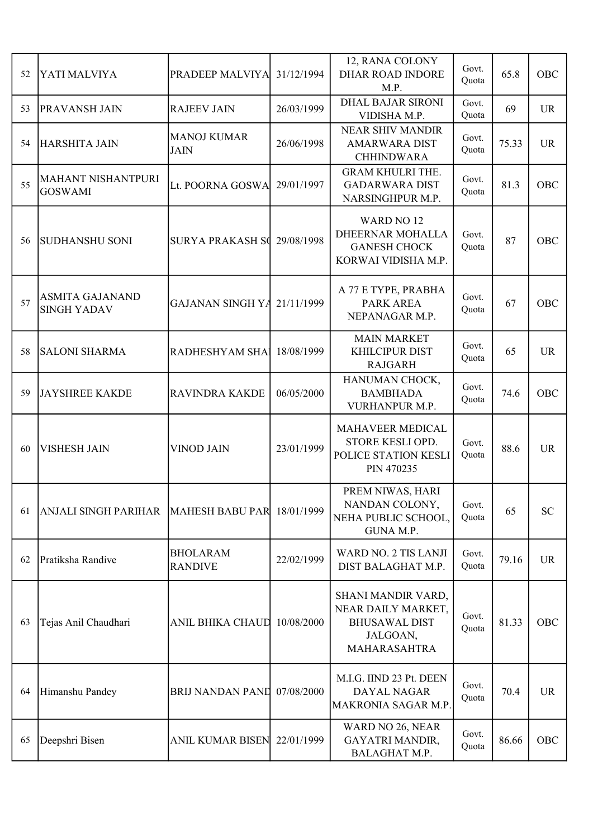| 52 | YATI MALVIYA                                 | PRADEEP MALVIYA                   | 31/12/1994 | 12, RANA COLONY<br><b>DHAR ROAD INDORE</b><br>M.P.                                           | Govt.<br>Quota | 65.8  | <b>OBC</b> |
|----|----------------------------------------------|-----------------------------------|------------|----------------------------------------------------------------------------------------------|----------------|-------|------------|
| 53 | PRAVANSH JAIN                                | <b>RAJEEV JAIN</b>                | 26/03/1999 | <b>DHAL BAJAR SIRONI</b><br>VIDISHA M.P.                                                     | Govt.<br>Quota | 69    | <b>UR</b>  |
| 54 | <b>HARSHITA JAIN</b>                         | <b>MANOJ KUMAR</b><br><b>JAIN</b> | 26/06/1998 | <b>NEAR SHIV MANDIR</b><br><b>AMARWARA DIST</b><br><b>CHHINDWARA</b>                         | Govt.<br>Quota | 75.33 | <b>UR</b>  |
| 55 | <b>MAHANT NISHANTPURI</b><br><b>GOSWAMI</b>  | Lt. POORNA GOSWA                  | 29/01/1997 | <b>GRAM KHULRI THE.</b><br><b>GADARWARA DIST</b><br>NARSINGHPUR M.P.                         | Govt.<br>Quota | 81.3  | OBC        |
| 56 | <b>SUDHANSHU SONI</b>                        | <b>SURYA PRAKASH SQ</b>           | 29/08/1998 | WARD NO <sub>12</sub><br>DHEERNAR MOHALLA<br><b>GANESH CHOCK</b><br>KORWAI VIDISHA M.P.      | Govt.<br>Quota | 87    | OBC        |
| 57 | <b>ASMITA GAJANAND</b><br><b>SINGH YADAV</b> | GAJANAN SINGH YA                  | 21/11/1999 | A 77 E TYPE, PRABHA<br>PARK AREA<br>NEPANAGAR M.P.                                           | Govt.<br>Quota | 67    | OBC        |
| 58 | <b>SALONI SHARMA</b>                         | RADHESHYAM SHA                    | 18/08/1999 | <b>MAIN MARKET</b><br>KHILCIPUR DIST<br><b>RAJGARH</b>                                       | Govt.<br>Quota | 65    | <b>UR</b>  |
| 59 | <b>JAYSHREE KAKDE</b>                        | <b>RAVINDRA KAKDE</b>             | 06/05/2000 | HANUMAN CHOCK,<br><b>BAMBHADA</b><br>VURHANPUR M.P.                                          | Govt.<br>Quota | 74.6  | OBC        |
| 60 | <b>VISHESH JAIN</b>                          | <b>VINOD JAIN</b>                 | 23/01/1999 | MAHAVEER MEDICAL<br>STORE KESLI OPD.<br>POLICE STATION KESLI<br>PIN 470235                   | Govt.<br>Quota | 88.6  | <b>UR</b>  |
| 61 | ANJALI SINGH PARIHAR                         | <b>MAHESH BABU PAR</b>            | 18/01/1999 | PREM NIWAS, HARI<br>NANDAN COLONY,<br>NEHA PUBLIC SCHOOL,<br>GUNA M.P.                       | Govt.<br>Quota | 65    | <b>SC</b>  |
| 62 | Pratiksha Randive                            | <b>BHOLARAM</b><br><b>RANDIVE</b> | 22/02/1999 | <b>WARD NO. 2 TIS LANJI</b><br>DIST BALAGHAT M.P.                                            | Govt.<br>Quota | 79.16 | <b>UR</b>  |
| 63 | Tejas Anil Chaudhari                         | <b>ANIL BHIKA CHAUD</b>           | 10/08/2000 | SHANI MANDIR VARD,<br>NEAR DAILY MARKET,<br><b>BHUSAWAL DIST</b><br>JALGOAN,<br>MAHARASAHTRA | Govt.<br>Quota | 81.33 | OBC        |
| 64 | Himanshu Pandey                              | <b>BRIJ NANDAN PAND</b>           | 07/08/2000 | M.I.G. IIND 23 Pt. DEEN<br>DAYAL NAGAR<br>MAKRONIA SAGAR M.P.                                | Govt.<br>Quota | 70.4  | <b>UR</b>  |
| 65 | Deepshri Bisen                               | <b>ANIL KUMAR BISEN</b>           | 22/01/1999 | WARD NO 26, NEAR<br>GAYATRI MANDIR,<br>BALAGHAT M.P.                                         | Govt.<br>Quota | 86.66 | OBC        |